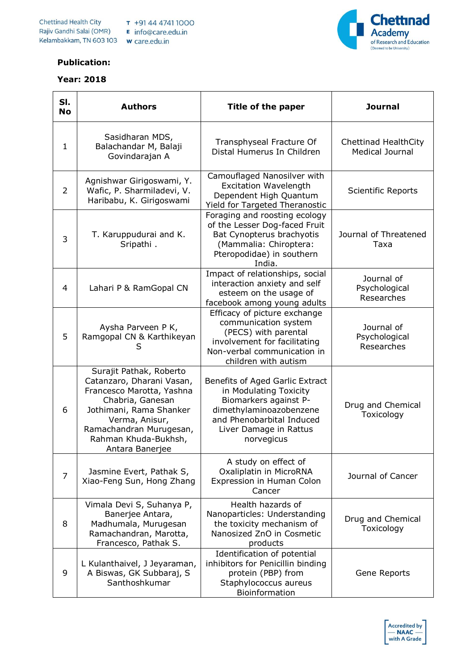

## **Publication:**

## **Year: 2018**

| SI.<br><b>No</b> | <b>Authors</b>                                                                                                                                                                                                           | Title of the paper                                                                                                                                                                 | <b>Journal</b>                                 |
|------------------|--------------------------------------------------------------------------------------------------------------------------------------------------------------------------------------------------------------------------|------------------------------------------------------------------------------------------------------------------------------------------------------------------------------------|------------------------------------------------|
| 1                | Sasidharan MDS,<br>Balachandar M, Balaji<br>Govindarajan A                                                                                                                                                               | Transphyseal Fracture Of<br>Distal Humerus In Children                                                                                                                             | Chettinad HealthCity<br><b>Medical Journal</b> |
| 2                | Agnishwar Girigoswami, Y.<br>Wafic, P. Sharmiladevi, V.<br>Haribabu, K. Girigoswami                                                                                                                                      | Camouflaged Nanosilver with<br><b>Excitation Wavelength</b><br>Dependent High Quantum<br>Yield for Targeted Theranostic                                                            | Scientific Reports                             |
| 3                | T. Karuppudurai and K.<br>Sripathi.                                                                                                                                                                                      | Foraging and roosting ecology<br>of the Lesser Dog-faced Fruit<br>Bat Cynopterus brachyotis<br>(Mammalia: Chiroptera:<br>Pteropodidae) in southern<br>India.                       | Journal of Threatened<br>Taxa                  |
| 4                | Lahari P & RamGopal CN                                                                                                                                                                                                   | Impact of relationships, social<br>interaction anxiety and self<br>esteem on the usage of<br>facebook among young adults                                                           | Journal of<br>Psychological<br>Researches      |
| 5                | Aysha Parveen P K,<br>Ramgopal CN & Karthikeyan<br>S                                                                                                                                                                     | Efficacy of picture exchange<br>communication system<br>(PECS) with parental<br>involvement for facilitating<br>Non-verbal communication in<br>children with autism                | Journal of<br>Psychological<br>Researches      |
| 6                | Surajit Pathak, Roberto<br>Catanzaro, Dharani Vasan,<br>Francesco Marotta, Yashna<br>Chabria, Ganesan<br>Jothimani, Rama Shanker<br>Verma, Anisur,<br>Ramachandran Murugesan,<br>Rahman Khuda-Bukhsh,<br>Antara Banerjee | Benefits of Aged Garlic Extract<br>in Modulating Toxicity<br>Biomarkers against P-<br>dimethylaminoazobenzene<br>and Phenobarbital Induced<br>Liver Damage in Rattus<br>norvegicus | Drug and Chemical<br>Toxicology                |
| $\overline{7}$   | Jasmine Evert, Pathak S,<br>Xiao-Feng Sun, Hong Zhang                                                                                                                                                                    | A study on effect of<br>Oxaliplatin in MicroRNA<br>Expression in Human Colon<br>Cancer                                                                                             | Journal of Cancer                              |
| 8                | Vimala Devi S, Suhanya P,<br>Banerjee Antara,<br>Madhumala, Murugesan<br>Ramachandran, Marotta,<br>Francesco, Pathak S.                                                                                                  | Health hazards of<br>Nanoparticles: Understanding<br>the toxicity mechanism of<br>Nanosized ZnO in Cosmetic<br>products                                                            | Drug and Chemical<br>Toxicology                |
| 9                | L Kulanthaivel, J Jeyaraman,<br>A Biswas, GK Subbaraj, S<br>Santhoshkumar                                                                                                                                                | Identification of potential<br>inhibitors for Penicillin binding<br>protein (PBP) from<br>Staphylococcus aureus<br>Bioinformation                                                  | Gene Reports                                   |

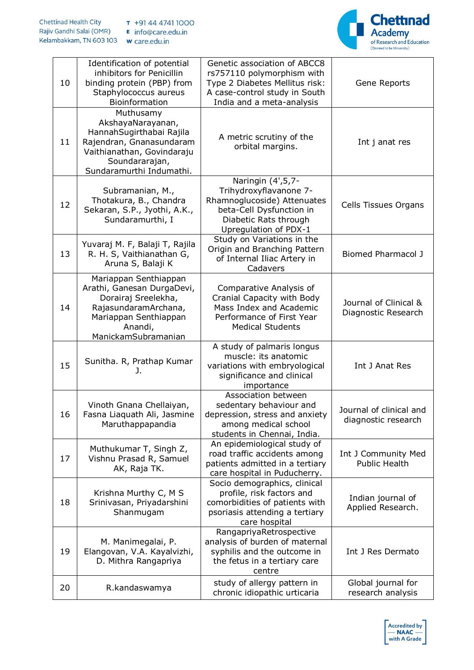

| 10 | Identification of potential<br>inhibitors for Penicillin<br>binding protein (PBP) from<br>Staphylococcus aureus<br>Bioinformation                                   | Genetic association of ABCC8<br>rs757110 polymorphism with<br>Type 2 Diabetes Mellitus risk:<br>A case-control study in South<br>India and a meta-analysis | Gene Reports                                   |
|----|---------------------------------------------------------------------------------------------------------------------------------------------------------------------|------------------------------------------------------------------------------------------------------------------------------------------------------------|------------------------------------------------|
| 11 | Muthusamy<br>AkshayaNarayanan,<br>Hannah Sugirthabai Rajila<br>Rajendran, Gnanasundaram<br>Vaithianathan, Govindaraju<br>Soundararajan,<br>Sundaramurthi Indumathi. | A metric scrutiny of the<br>orbital margins.                                                                                                               | Int j anat res                                 |
| 12 | Subramanian, M.,<br>Thotakura, B., Chandra<br>Sekaran, S.P., Jyothi, A.K.,<br>Sundaramurthi, I                                                                      | Naringin (4',5,7-<br>Trihydroxyflavanone 7-<br>Rhamnoglucoside) Attenuates<br>beta-Cell Dysfunction in<br>Diabetic Rats through<br>Upregulation of PDX-1   | Cells Tissues Organs                           |
| 13 | Yuvaraj M. F, Balaji T, Rajila<br>R. H. S, Vaithianathan G,<br>Aruna S, Balaji K                                                                                    | Study on Variations in the<br>Origin and Branching Pattern<br>of Internal Iliac Artery in<br>Cadavers                                                      | <b>Biomed Pharmacol J</b>                      |
| 14 | Mariappan Senthiappan<br>Arathi, Ganesan DurgaDevi,<br>Dorairaj Sreelekha,<br>RajasundaramArchana,<br>Mariappan Senthiappan<br>Anandi,<br>ManickamSubramanian       | Comparative Analysis of<br>Cranial Capacity with Body<br>Mass Index and Academic<br>Performance of First Year<br><b>Medical Students</b>                   | Journal of Clinical &<br>Diagnostic Research   |
| 15 | Sunitha. R, Prathap Kumar<br>J.                                                                                                                                     | A study of palmaris longus<br>muscle: its anatomic<br>variations with embryological<br>significance and clinical<br>importance                             | Int J Anat Res                                 |
| 16 | Vinoth Gnana Chellaiyan,<br>Fasna Liaquath Ali, Jasmine<br>Maruthappapandia                                                                                         | Association between<br>sedentary behaviour and<br>depression, stress and anxiety<br>among medical school<br>students in Chennai, India.                    | Journal of clinical and<br>diagnostic research |
| 17 | Muthukumar T, Singh Z,<br>Vishnu Prasad R, Samuel<br>AK, Raja TK.                                                                                                   | An epidemiological study of<br>road traffic accidents among<br>patients admitted in a tertiary<br>care hospital in Puducherry.                             | Int J Community Med<br><b>Public Health</b>    |
| 18 | Krishna Murthy C, M S<br>Srinivasan, Priyadarshini<br>Shanmugam                                                                                                     | Socio demographics, clinical<br>profile, risk factors and<br>comorbidities of patients with<br>psoriasis attending a tertiary<br>care hospital             | Indian journal of<br>Applied Research.         |
| 19 | M. Manimegalai, P.<br>Elangovan, V.A. Kayalvizhi,<br>D. Mithra Rangapriya                                                                                           | RangapriyaRetrospective<br>analysis of burden of maternal<br>syphilis and the outcome in<br>the fetus in a tertiary care<br>centre                         | Int J Res Dermato                              |
| 20 | R.kandaswamya                                                                                                                                                       | study of allergy pattern in<br>chronic idiopathic urticaria                                                                                                | Global journal for<br>research analysis        |

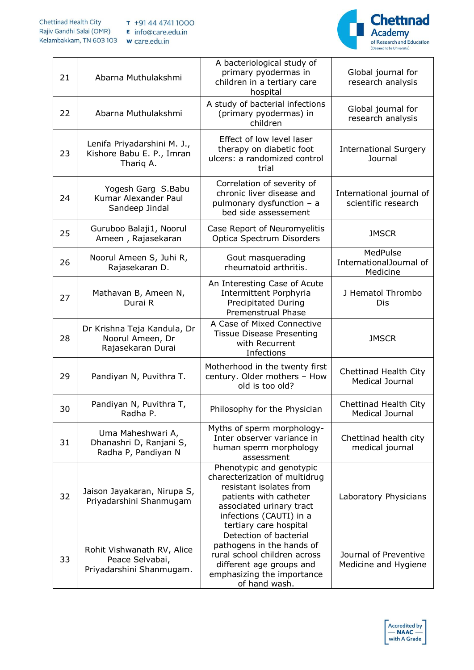

| 21 | Abarna Muthulakshmi                                                       | A bacteriological study of<br>primary pyodermas in<br>children in a tertiary care<br>hospital                                                                                                   | Global journal for<br>research analysis         |
|----|---------------------------------------------------------------------------|-------------------------------------------------------------------------------------------------------------------------------------------------------------------------------------------------|-------------------------------------------------|
| 22 | Abarna Muthulakshmi                                                       | A study of bacterial infections<br>(primary pyodermas) in<br>children                                                                                                                           | Global journal for<br>research analysis         |
| 23 | Lenifa Priyadarshini M. J.,<br>Kishore Babu E. P., Imran<br>Thariq A.     | Effect of low level laser<br>therapy on diabetic foot<br>ulcers: a randomized control<br>trial                                                                                                  | <b>International Surgery</b><br>Journal         |
| 24 | Yogesh Garg S.Babu<br>Kumar Alexander Paul<br>Sandeep Jindal              | Correlation of severity of<br>chronic liver disease and<br>pulmonary dysfunction - a<br>bed side assessement                                                                                    | International journal of<br>scientific research |
| 25 | Guruboo Balaji1, Noorul<br>Ameen, Rajasekaran                             | Case Report of Neuromyelitis<br>Optica Spectrum Disorders                                                                                                                                       | <b>JMSCR</b>                                    |
| 26 | Noorul Ameen S, Juhi R,<br>Rajasekaran D.                                 | Gout masquerading<br>rheumatoid arthritis.                                                                                                                                                      | MedPulse<br>InternationalJournal of<br>Medicine |
| 27 | Mathavan B, Ameen N,<br>Durai R                                           | An Interesting Case of Acute<br>Intermittent Porphyria<br><b>Precipitated During</b><br>Premenstrual Phase                                                                                      | J Hematol Thrombo<br>Dis                        |
| 28 | Dr Krishna Teja Kandula, Dr<br>Noorul Ameen, Dr<br>Rajasekaran Durai      | A Case of Mixed Connective<br><b>Tissue Disease Presenting</b><br>with Recurrent<br>Infections                                                                                                  | <b>JMSCR</b>                                    |
| 29 | Pandiyan N, Puvithra T.                                                   | Motherhood in the twenty first<br>century. Older mothers - How<br>old is too old?                                                                                                               | Chettinad Health City<br>Medical Journal        |
| 30 | Pandiyan N, Puvithra T,<br>Radha P.                                       | Philosophy for the Physician                                                                                                                                                                    | Chettinad Health City<br>Medical Journal        |
| 31 | Uma Maheshwari A,<br>Dhanashri D, Ranjani S,<br>Radha P, Pandiyan N       | Myths of sperm morphology-<br>Inter observer variance in<br>human sperm morphology<br>assessment                                                                                                | Chettinad health city<br>medical journal        |
| 32 | Jaison Jayakaran, Nirupa S,<br>Priyadarshini Shanmugam                    | Phenotypic and genotypic<br>charecterization of multidrug<br>resistant isolates from<br>patients with catheter<br>associated urinary tract<br>infections (CAUTI) in a<br>tertiary care hospital | Laboratory Physicians                           |
| 33 | Rohit Vishwanath RV, Alice<br>Peace Selvabai,<br>Priyadarshini Shanmugam. | Detection of bacterial<br>pathogens in the hands of<br>rural school children across<br>different age groups and<br>emphasizing the importance<br>of hand wash.                                  | Journal of Preventive<br>Medicine and Hygiene   |

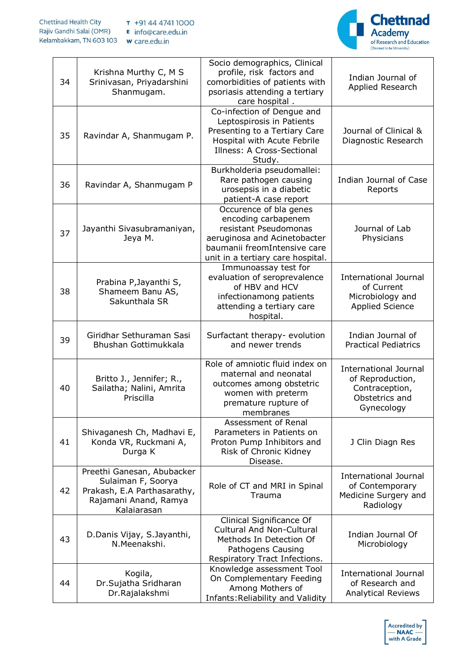

| 34 | Krishna Murthy C, M S<br>Srinivasan, Priyadarshini<br>Shanmugam.                                                        | Socio demographics, Clinical<br>profile, risk factors and<br>comorbidities of patients with<br>psoriasis attending a tertiary<br>care hospital.                             | Indian Journal of<br>Applied Research                                                              |
|----|-------------------------------------------------------------------------------------------------------------------------|-----------------------------------------------------------------------------------------------------------------------------------------------------------------------------|----------------------------------------------------------------------------------------------------|
| 35 | Ravindar A, Shanmugam P.                                                                                                | Co-infection of Dengue and<br>Leptospirosis in Patients<br>Presenting to a Tertiary Care<br>Hospital with Acute Febrile<br>Illness: A Cross-Sectional<br>Study.             | Journal of Clinical &<br>Diagnostic Research                                                       |
| 36 | Ravindar A, Shanmugam P                                                                                                 | Burkholderia pseudomallei:<br>Rare pathogen causing<br>urosepsis in a diabetic<br>patient-A case report                                                                     | Indian Journal of Case<br>Reports                                                                  |
| 37 | Jayanthi Sivasubramaniyan,<br>Jeya M.                                                                                   | Occurence of bla genes<br>encoding carbapenem<br>resistant Pseudomonas<br>aeruginosa and Acinetobacter<br>baumanii freomIntensive care<br>unit in a tertiary care hospital. | Journal of Lab<br>Physicians                                                                       |
| 38 | Prabina P, Jayanthi S,<br>Shameem Banu AS,<br>Sakunthala SR                                                             | Immunoassay test for<br>evaluation of seroprevalence<br>of HBV and HCV<br>infectionamong patients<br>attending a tertiary care<br>hospital.                                 | <b>International Journal</b><br>of Current<br>Microbiology and<br><b>Applied Science</b>           |
| 39 | Giridhar Sethuraman Sasi<br>Bhushan Gottimukkala                                                                        | Surfactant therapy- evolution<br>and newer trends                                                                                                                           | Indian Journal of<br><b>Practical Pediatrics</b>                                                   |
| 40 | Britto J., Jennifer; R.,<br>Sailatha; Nalini, Amrita<br>Priscilla                                                       | Role of amniotic fluid index on<br>maternal and neonatal<br>outcomes among obstetric<br>women with preterm<br>premature rupture of<br>membranes                             | <b>International Journal</b><br>of Reproduction,<br>Contraception,<br>Obstetrics and<br>Gynecology |
| 41 | Shivaganesh Ch, Madhavi E,<br>Konda VR, Ruckmani A,<br>Durga K                                                          | Assessment of Renal<br>Parameters in Patients on<br>Proton Pump Inhibitors and<br>Risk of Chronic Kidney<br>Disease.                                                        | J Clin Diagn Res                                                                                   |
| 42 | Preethi Ganesan, Abubacker<br>Sulaiman F, Soorya<br>Prakash, E.A Parthasarathy,<br>Rajamani Anand, Ramya<br>Kalaiarasan | Role of CT and MRI in Spinal<br>Trauma                                                                                                                                      | <b>International Journal</b><br>of Contemporary<br>Medicine Surgery and<br>Radiology               |
| 43 | D.Danis Vijay, S.Jayanthi,<br>N.Meenakshi.                                                                              | Clinical Significance Of<br><b>Cultural And Non-Cultural</b><br>Methods In Detection Of<br>Pathogens Causing<br>Respiratory Tract Infections.                               | Indian Journal Of<br>Microbiology                                                                  |
| 44 | Kogila,<br>Dr.Sujatha Sridharan<br>Dr.Rajalakshmi                                                                       | Knowledge assessment Tool<br>On Complementary Feeding<br>Among Mothers of<br><b>Infants: Reliability and Validity</b>                                                       | <b>International Journal</b><br>of Research and<br><b>Analytical Reviews</b>                       |

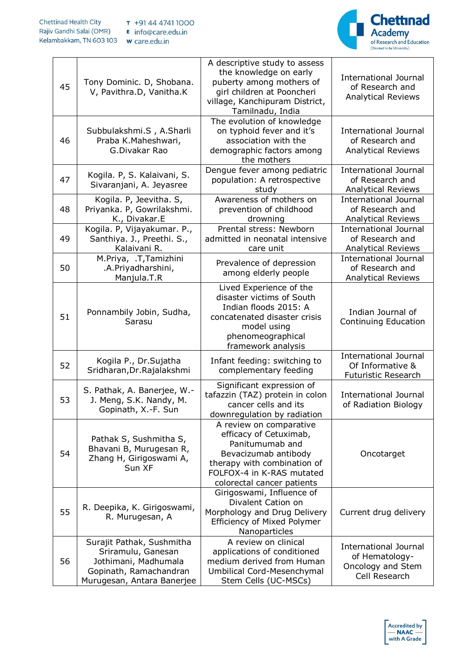

| 45 | Tony Dominic. D, Shobana.<br>V, Pavithra.D, Vanitha.K                                                                           | A descriptive study to assess<br>the knowledge on early<br>puberty among mothers of<br>girl children at Pooncheri<br>village, Kanchipuram District,<br>Tamilnadu, India                | <b>International Journal</b><br>of Research and<br><b>Analytical Reviews</b>         |
|----|---------------------------------------------------------------------------------------------------------------------------------|----------------------------------------------------------------------------------------------------------------------------------------------------------------------------------------|--------------------------------------------------------------------------------------|
| 46 | Subbulakshmi.S, A.Sharli<br>Praba K.Maheshwari,<br>G.Divakar Rao                                                                | The evolution of knowledge<br>on typhoid fever and it's<br>association with the<br>demographic factors among<br>the mothers                                                            | <b>International Journal</b><br>of Research and<br><b>Analytical Reviews</b>         |
| 47 | Kogila. P, S. Kalaivani, S.<br>Sivaranjani, A. Jeyasree                                                                         | Dengue fever among pediatric<br>population: A retrospective<br>study                                                                                                                   | <b>International Journal</b><br>of Research and<br><b>Analytical Reviews</b>         |
| 48 | Kogila. P, Jeevitha. S,<br>Priyanka. P, Gowrilakshmi.<br>K., Divakar.E                                                          | Awareness of mothers on<br>prevention of childhood<br>drowning                                                                                                                         | <b>International Journal</b><br>of Research and<br><b>Analytical Reviews</b>         |
| 49 | Kogila. P, Vijayakumar. P.,<br>Santhiya. J., Preethi. S.,<br>Kalaivani R.                                                       | Prental stress: Newborn<br>admitted in neonatal intensive<br>care unit                                                                                                                 | <b>International Journal</b><br>of Research and<br><b>Analytical Reviews</b>         |
| 50 | M.Priya, .T,Tamizhini<br>.A.Priyadharshini,<br>Manjula.T.R                                                                      | Prevalence of depression<br>among elderly people                                                                                                                                       | <b>International Journal</b><br>of Research and<br><b>Analytical Reviews</b>         |
| 51 | Ponnambily Jobin, Sudha,<br>Sarasu                                                                                              | Lived Experience of the<br>disaster victims of South<br>Indian floods 2015: A<br>concatenated disaster crisis<br>model using<br>phenomeographical<br>framework analysis                | Indian Journal of<br>Continuing Education                                            |
| 52 | Kogila P., Dr.Sujatha<br>Sridharan, Dr. Rajalakshmi                                                                             | Infant feeding: switching to<br>complementary feeding                                                                                                                                  | <b>International Journal</b><br>Of Informative &<br><b>Futuristic Research</b>       |
| 53 | S. Pathak, A. Banerjee, W.-<br>J. Meng, S.K. Nandy, M.<br>Gopinath, X.-F. Sun                                                   | Significant expression of<br>tafazzin (TAZ) protein in colon<br>cancer cells and its<br>downregulation by radiation                                                                    | <b>International Journal</b><br>of Radiation Biology                                 |
| 54 | Pathak S, Sushmitha S,<br>Bhavani B, Murugesan R,<br>Zhang H, Girigoswami A,<br>Sun XF                                          | A review on comparative<br>efficacy of Cetuximab,<br>Panitumumab and<br>Bevacizumab antibody<br>therapy with combination of<br>FOLFOX-4 in K-RAS mutated<br>colorectal cancer patients | Oncotarget                                                                           |
| 55 | R. Deepika, K. Girigoswami,<br>R. Murugesan, A                                                                                  | Girigoswami, Influence of<br>Divalent Cation on<br>Morphology and Drug Delivery<br>Efficiency of Mixed Polymer<br>Nanoparticles                                                        | Current drug delivery                                                                |
| 56 | Surajit Pathak, Sushmitha<br>Sriramulu, Ganesan<br>Jothimani, Madhumala<br>Gopinath, Ramachandran<br>Murugesan, Antara Banerjee | A review on clinical<br>applications of conditioned<br>medium derived from Human<br>Umbilical Cord-Mesenchymal<br>Stem Cells (UC-MSCs)                                                 | <b>International Journal</b><br>of Hematology-<br>Oncology and Stem<br>Cell Research |

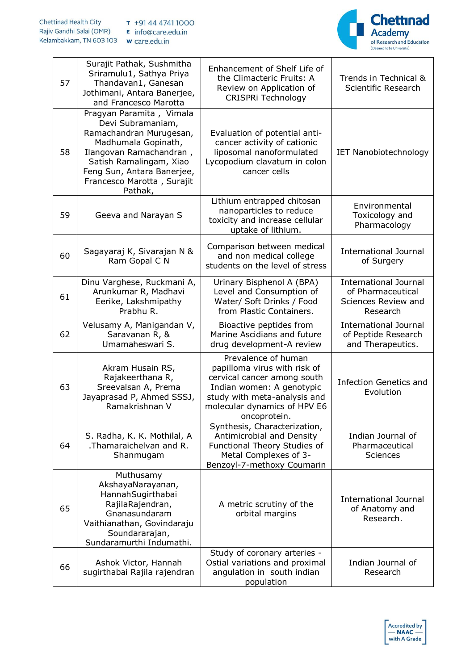

| 57 | Surajit Pathak, Sushmitha<br>Sriramulu1, Sathya Priya<br>Thandavan1, Ganesan<br>Jothimani, Antara Banerjee,<br>and Francesco Marotta                                                                                         | Enhancement of Shelf Life of<br>the Climacteric Fruits: A<br>Review on Application of<br><b>CRISPRi Technology</b>                                                                              | Trends in Technical &<br>Scientific Research                                         |
|----|------------------------------------------------------------------------------------------------------------------------------------------------------------------------------------------------------------------------------|-------------------------------------------------------------------------------------------------------------------------------------------------------------------------------------------------|--------------------------------------------------------------------------------------|
| 58 | Pragyan Paramita, Vimala<br>Devi Subramaniam,<br>Ramachandran Murugesan,<br>Madhumala Gopinath,<br>Ilangovan Ramachandran,<br>Satish Ramalingam, Xiao<br>Feng Sun, Antara Banerjee,<br>Francesco Marotta, Surajit<br>Pathak, | Evaluation of potential anti-<br>cancer activity of cationic<br>liposomal nanoformulated<br>Lycopodium clavatum in colon<br>cancer cells                                                        | <b>IET Nanobiotechnology</b>                                                         |
| 59 | Geeva and Narayan S                                                                                                                                                                                                          | Lithium entrapped chitosan<br>nanoparticles to reduce<br>toxicity and increase cellular<br>uptake of lithium.                                                                                   | Environmental<br>Toxicology and<br>Pharmacology                                      |
| 60 | Sagayaraj K, Sivarajan N &<br>Ram Gopal C N                                                                                                                                                                                  | Comparison between medical<br>and non medical college<br>students on the level of stress                                                                                                        | <b>International Journal</b><br>of Surgery                                           |
| 61 | Dinu Varghese, Ruckmani A,<br>Arunkumar R, Madhavi<br>Eerike, Lakshmipathy<br>Prabhu R.                                                                                                                                      | Urinary Bisphenol A (BPA)<br>Level and Consumption of<br>Water/ Soft Drinks / Food<br>from Plastic Containers.                                                                                  | <b>International Journal</b><br>of Pharmaceutical<br>Sciences Review and<br>Research |
| 62 | Velusamy A, Manigandan V,<br>Saravanan R, &<br>Umamaheswari S.                                                                                                                                                               | Bioactive peptides from<br>Marine Ascidians and future<br>drug development-A review                                                                                                             | <b>International Journal</b><br>of Peptide Research<br>and Therapeutics.             |
| 63 | Akram Husain RS,<br>Rajakeerthana R,<br>Sreevalsan A, Prema<br>Jayaprasad P, Ahmed SSSJ,<br>Ramakrishnan V                                                                                                                   | Prevalence of human<br>papilloma virus with risk of<br>cervical cancer among south<br>Indian women: A genotypic<br>study with meta-analysis and<br>molecular dynamics of HPV E6<br>oncoprotein. | <b>Infection Genetics and</b><br>Evolution                                           |
| 64 | S. Radha, K. K. Mothilal, A<br>.Thamaraichelvan and R.<br>Shanmugam                                                                                                                                                          | Synthesis, Characterization,<br>Antimicrobial and Density<br>Functional Theory Studies of<br>Metal Complexes of 3-<br>Benzoyl-7-methoxy Coumarin                                                | Indian Journal of<br>Pharmaceutical<br>Sciences                                      |
| 65 | Muthusamy<br>AkshayaNarayanan,<br>HannahSugirthabai<br>RajilaRajendran,<br>Gnanasundaram<br>Vaithianathan, Govindaraju<br>Soundararajan,<br>Sundaramurthi Indumathi.                                                         | A metric scrutiny of the<br>orbital margins                                                                                                                                                     | <b>International Journal</b><br>of Anatomy and<br>Research.                          |
| 66 | Ashok Victor, Hannah<br>sugirthabai Rajila rajendran                                                                                                                                                                         | Study of coronary arteries -<br>Ostial variations and proximal<br>angulation in south indian<br>population                                                                                      | Indian Journal of<br>Research                                                        |

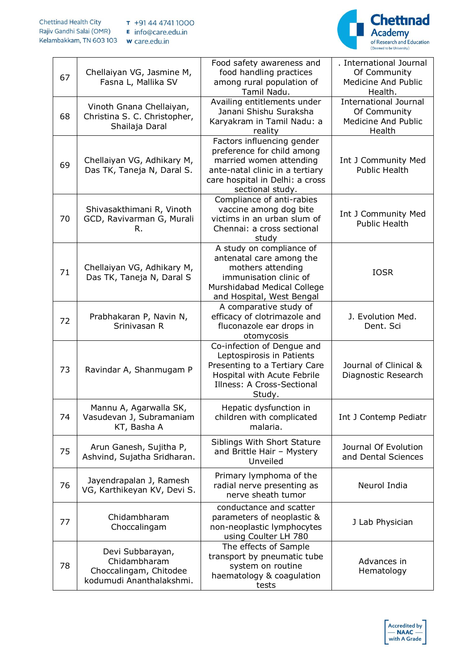

| 67 | Chellaiyan VG, Jasmine M,<br>Fasna L, Mallika SV                                       | Food safety awareness and<br>food handling practices<br>among rural population of<br>Tamil Nadu.                                                                              | . International Journal<br>Of Community<br>Medicine And Public<br>Health.     |
|----|----------------------------------------------------------------------------------------|-------------------------------------------------------------------------------------------------------------------------------------------------------------------------------|-------------------------------------------------------------------------------|
| 68 | Vinoth Gnana Chellaiyan,<br>Christina S. C. Christopher,<br>Shailaja Daral             | Availing entitlements under<br>Janani Shishu Suraksha<br>Karyakram in Tamil Nadu: a<br>reality                                                                                | <b>International Journal</b><br>Of Community<br>Medicine And Public<br>Health |
| 69 | Chellaiyan VG, Adhikary M,<br>Das TK, Taneja N, Daral S.                               | Factors influencing gender<br>preference for child among<br>married women attending<br>ante-natal clinic in a tertiary<br>care hospital in Delhi: a cross<br>sectional study. | Int J Community Med<br><b>Public Health</b>                                   |
| 70 | Shivasakthimani R, Vinoth<br>GCD, Ravivarman G, Murali<br>R.                           | Compliance of anti-rabies<br>vaccine among dog bite<br>victims in an urban slum of<br>Chennai: a cross sectional<br>study                                                     | Int J Community Med<br><b>Public Health</b>                                   |
| 71 | Chellaiyan VG, Adhikary M,<br>Das TK, Taneja N, Daral S                                | A study on compliance of<br>antenatal care among the<br>mothers attending<br>immunisation clinic of<br>Murshidabad Medical College<br>and Hospital, West Bengal               | <b>IOSR</b>                                                                   |
| 72 | Prabhakaran P, Navin N,<br>Srinivasan R                                                | A comparative study of<br>efficacy of clotrimazole and<br>fluconazole ear drops in<br>otomycosis                                                                              | J. Evolution Med.<br>Dent. Sci                                                |
| 73 | Ravindar A, Shanmugam P                                                                | Co-infection of Dengue and<br>Leptospirosis in Patients<br>Presenting to a Tertiary Care<br>Hospital with Acute Febrile<br>Illness: A Cross-Sectional<br>Study.               | Journal of Clinical &<br>Diagnostic Research                                  |
| 74 | Mannu A, Agarwalla SK,<br>Vasudevan J, Subramaniam<br>KT, Basha A                      | Hepatic dysfunction in<br>children with complicated<br>malaria.                                                                                                               | Int J Contemp Pediatr                                                         |
| 75 | Arun Ganesh, Sujitha P,<br>Ashvind, Sujatha Sridharan.                                 | Siblings With Short Stature<br>and Brittle Hair - Mystery<br>Unveiled                                                                                                         | Journal Of Evolution<br>and Dental Sciences                                   |
| 76 | Jayendrapalan J, Ramesh<br>VG, Karthikeyan KV, Devi S.                                 | Primary lymphoma of the<br>radial nerve presenting as<br>nerve sheath tumor                                                                                                   | Neurol India                                                                  |
| 77 | Chidambharam<br>Choccalingam                                                           | conductance and scatter<br>parameters of neoplastic &<br>non-neoplastic lymphocytes<br>using Coulter LH 780                                                                   | J Lab Physician                                                               |
| 78 | Devi Subbarayan,<br>Chidambharam<br>Choccalingam, Chitodee<br>kodumudi Ananthalakshmi. | The effects of Sample<br>transport by pneumatic tube<br>system on routine<br>haematology & coagulation<br>tests                                                               | Advances in<br>Hematology                                                     |

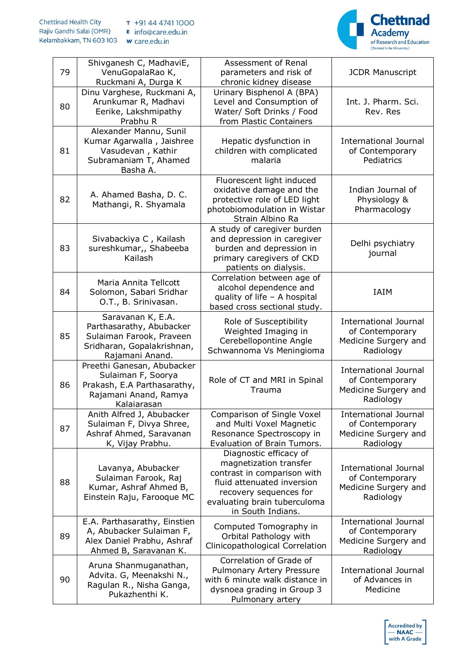

| 79 | Shivganesh C, MadhaviE,<br>VenuGopalaRao K,<br>Ruckmani A, Durga K                                                         | Assessment of Renal<br>parameters and risk of<br>chronic kidney disease                                                                                                                      | <b>JCDR Manuscript</b>                                                               |
|----|----------------------------------------------------------------------------------------------------------------------------|----------------------------------------------------------------------------------------------------------------------------------------------------------------------------------------------|--------------------------------------------------------------------------------------|
| 80 | Dinu Varghese, Ruckmani A,<br>Arunkumar R, Madhavi<br>Eerike, Lakshmipathy<br>Prabhu R                                     | Urinary Bisphenol A (BPA)<br>Level and Consumption of<br>Water/ Soft Drinks / Food<br>from Plastic Containers                                                                                | Int. J. Pharm. Sci.<br>Rev. Res                                                      |
| 81 | Alexander Mannu, Sunil<br>Kumar Agarwalla, Jaishree<br>Vasudevan, Kathir<br>Subramaniam T, Ahamed<br>Basha A.              | Hepatic dysfunction in<br>children with complicated<br>malaria                                                                                                                               | <b>International Journal</b><br>of Contemporary<br>Pediatrics                        |
| 82 | A. Ahamed Basha, D. C.<br>Mathangi, R. Shyamala                                                                            | Fluorescent light induced<br>oxidative damage and the<br>protective role of LED light<br>photobiomodulation in Wistar<br>Strain Albino Ra                                                    | Indian Journal of<br>Physiology &<br>Pharmacology                                    |
| 83 | Sivabackiya C, Kailash<br>sureshkumar,, Shabeeba<br>Kailash                                                                | A study of caregiver burden<br>and depression in caregiver<br>burden and depression in<br>primary caregivers of CKD<br>patients on dialysis.                                                 | Delhi psychiatry<br>journal                                                          |
| 84 | Maria Annita Tellcott<br>Solomon, Sabari Sridhar<br>O.T., B. Srinivasan.                                                   | Correlation between age of<br>alcohol dependence and<br>quality of life - A hospital<br>based cross sectional study.                                                                         | IAIM                                                                                 |
| 85 | Saravanan K, E.A.<br>Parthasarathy, Abubacker<br>Sulaiman Farook, Praveen<br>Sridharan, Gopalakrishnan,<br>Rajamani Anand. | Role of Susceptibility<br>Weighted Imaging in<br>Cerebellopontine Angle<br>Schwannoma Vs Meningioma                                                                                          | <b>International Journal</b><br>of Contemporary<br>Medicine Surgery and<br>Radiology |
| 86 | Preethi Ganesan, Abubacker<br>Sulaiman F, Soorya<br>Prakash, E.A Parthasarathy,<br>Rajamani Anand, Ramya<br>Kalaiarasan    | Role of CT and MRI in Spinal<br>Trauma                                                                                                                                                       | <b>International Journal</b><br>of Contemporary<br>Medicine Surgery and<br>Radiology |
| 87 | Anith Alfred J, Abubacker<br>Sulaiman F, Divya Shree,<br>Ashraf Ahmed, Saravanan<br>K, Vijay Prabhu.                       | Comparison of Single Voxel<br>and Multi Voxel Magnetic<br>Resonance Spectroscopy in<br>Evaluation of Brain Tumors.                                                                           | <b>International Journal</b><br>of Contemporary<br>Medicine Surgery and<br>Radiology |
| 88 | Lavanya, Abubacker<br>Sulaiman Farook, Raj<br>Kumar, Ashraf Ahmed B,<br>Einstein Raju, Farooque MC                         | Diagnostic efficacy of<br>magnetization transfer<br>contrast in comparison with<br>fluid attenuated inversion<br>recovery sequences for<br>evaluating brain tuberculoma<br>in South Indians. | <b>International Journal</b><br>of Contemporary<br>Medicine Surgery and<br>Radiology |
| 89 | E.A. Parthasarathy, Einstien<br>A, Abubacker Sulaiman F,<br>Alex Daniel Prabhu, Ashraf<br>Ahmed B, Saravanan K.            | Computed Tomography in<br>Orbital Pathology with<br>Clinicopathological Correlation                                                                                                          | <b>International Journal</b><br>of Contemporary<br>Medicine Surgery and<br>Radiology |
| 90 | Aruna Shanmuganathan,<br>Advita. G, Meenakshi N.,<br>Ragulan R., Nisha Ganga,<br>Pukazhenthi K.                            | Correlation of Grade of<br>Pulmonary Artery Pressure<br>with 6 minute walk distance in<br>dysnoea grading in Group 3<br>Pulmonary artery                                                     | <b>International Journal</b><br>of Advances in<br>Medicine                           |

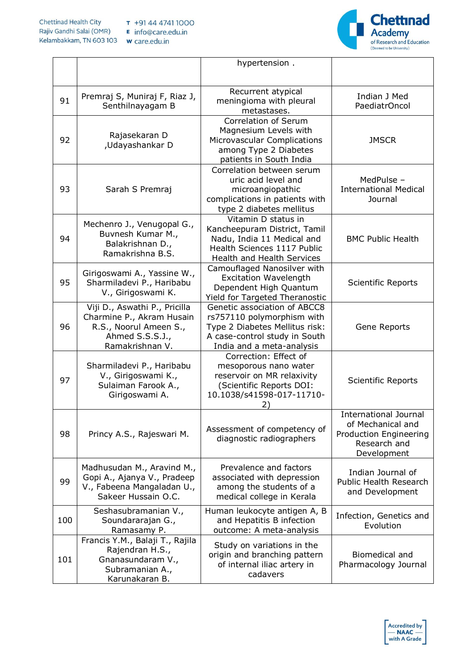

|     |                                                                                                                            | hypertension.                                                                                                                                              |                                                                                                            |
|-----|----------------------------------------------------------------------------------------------------------------------------|------------------------------------------------------------------------------------------------------------------------------------------------------------|------------------------------------------------------------------------------------------------------------|
| 91  | Premraj S, Muniraj F, Riaz J,<br>Senthilnayagam B                                                                          | Recurrent atypical<br>meningioma with pleural<br>metastases.                                                                                               | Indian J Med<br>PaediatrOncol                                                                              |
| 92  | Rajasekaran D<br>,Udayashankar D                                                                                           | Correlation of Serum<br>Magnesium Levels with<br>Microvascular Complications<br>among Type 2 Diabetes<br>patients in South India                           | <b>JMSCR</b>                                                                                               |
| 93  | Sarah S Premraj                                                                                                            | Correlation between serum<br>uric acid level and<br>microangiopathic<br>complications in patients with<br>type 2 diabetes mellitus                         | MedPulse -<br><b>International Medical</b><br>Journal                                                      |
| 94  | Mechenro J., Venugopal G.,<br>Buvnesh Kumar M.,<br>Balakrishnan D.,<br>Ramakrishna B.S.                                    | Vitamin D status in<br>Kancheepuram District, Tamil<br>Nadu, India 11 Medical and<br>Health Sciences 1117 Public<br>Health and Health Services             | <b>BMC Public Health</b>                                                                                   |
| 95  | Girigoswami A., Yassine W.,<br>Sharmiladevi P., Haribabu<br>V., Girigoswami K.                                             | Camouflaged Nanosilver with<br><b>Excitation Wavelength</b><br>Dependent High Quantum<br>Yield for Targeted Theranostic                                    | Scientific Reports                                                                                         |
| 96  | Viji D., Aswathi P., Pricilla<br>Charmine P., Akram Husain<br>R.S., Noorul Ameen S.,<br>Ahmed S.S.S.J.,<br>Ramakrishnan V. | Genetic association of ABCC8<br>rs757110 polymorphism with<br>Type 2 Diabetes Mellitus risk:<br>A case-control study in South<br>India and a meta-analysis | Gene Reports                                                                                               |
| 97  | Sharmiladevi P., Haribabu<br>V., Girigoswami K.,<br>Sulaiman Farook A.,<br>Girigoswami A.                                  | Correction: Effect of<br>mesoporous nano water<br>reservoir on MR relaxivity<br>(Scientific Reports DOI:<br>10.1038/s41598-017-11710-                      | Scientific Reports                                                                                         |
| 98  | Princy A.S., Rajeswari M.                                                                                                  | Assessment of competency of<br>diagnostic radiographers                                                                                                    | International Journal<br>of Mechanical and<br><b>Production Engineering</b><br>Research and<br>Development |
| 99  | Madhusudan M., Aravind M.,<br>Gopi A., Ajanya V., Pradeep<br>V., Fabeena Mangaladan U.,<br>Sakeer Hussain O.C.             | Prevalence and factors<br>associated with depression<br>among the students of a<br>medical college in Kerala                                               | Indian Journal of<br><b>Public Health Research</b><br>and Development                                      |
| 100 | Seshasubramanian V.,<br>Soundararajan G.,<br>Ramasamy P.                                                                   | Human leukocyte antigen A, B<br>and Hepatitis B infection<br>outcome: A meta-analysis                                                                      | Infection, Genetics and<br>Evolution                                                                       |
| 101 | Francis Y.M., Balaji T., Rajila<br>Rajendran H.S.,<br>Gnanasundaram V.,<br>Subramanian A.,<br>Karunakaran B.               | Study on variations in the<br>origin and branching pattern<br>of internal iliac artery in<br>cadavers                                                      | Biomedical and<br>Pharmacology Journal                                                                     |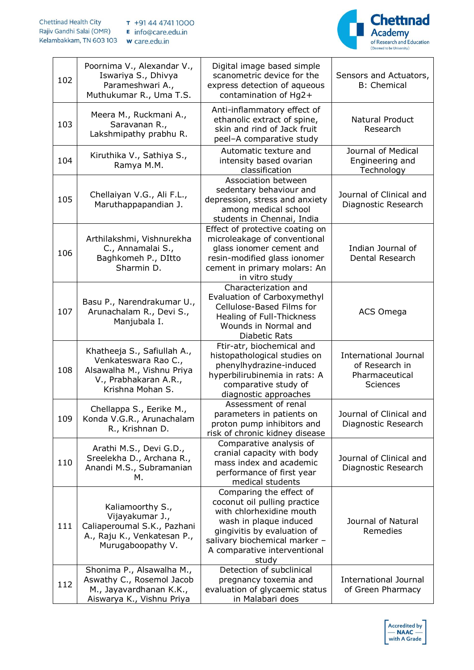

| 102 | Poornima V., Alexandar V.,<br>Iswariya S., Dhivya<br>Parameshwari A.,<br>Muthukumar R., Uma T.S.                               | Digital image based simple<br>scanometric device for the<br>express detection of aqueous<br>contamination of Hg2+                                                                                                      | Sensors and Actuators,<br><b>B: Chemical</b>                                        |
|-----|--------------------------------------------------------------------------------------------------------------------------------|------------------------------------------------------------------------------------------------------------------------------------------------------------------------------------------------------------------------|-------------------------------------------------------------------------------------|
| 103 | Meera M., Ruckmani A.,<br>Saravanan R.,<br>Lakshmipathy prabhu R.                                                              | Anti-inflammatory effect of<br>ethanolic extract of spine,<br>skin and rind of Jack fruit<br>peel-A comparative study                                                                                                  | Natural Product<br>Research                                                         |
| 104 | Kiruthika V., Sathiya S.,<br>Ramya M.M.                                                                                        | Automatic texture and<br>intensity based ovarian<br>classification                                                                                                                                                     | Journal of Medical<br>Engineering and<br>Technology                                 |
| 105 | Chellaiyan V.G., Ali F.L.,<br>Maruthappapandian J.                                                                             | Association between<br>sedentary behaviour and<br>depression, stress and anxiety<br>among medical school<br>students in Chennai, India                                                                                 | Journal of Clinical and<br>Diagnostic Research                                      |
| 106 | Arthilakshmi, Vishnurekha<br>C., Annamalai S.,<br>Baghkomeh P., DItto<br>Sharmin D.                                            | Effect of protective coating on<br>microleakage of conventional<br>glass ionomer cement and<br>resin-modified glass ionomer<br>cement in primary molars: An<br>in vitro study                                          | Indian Journal of<br><b>Dental Research</b>                                         |
| 107 | Basu P., Narendrakumar U.,<br>Arunachalam R., Devi S.,<br>Manjubala I.                                                         | Characterization and<br>Evaluation of Carboxymethyl<br>Cellulose-Based Films for<br>Healing of Full-Thickness<br>Wounds in Normal and<br>Diabetic Rats                                                                 | <b>ACS Omega</b>                                                                    |
| 108 | Khatheeja S., Safiullah A.,<br>Venkateswara Rao C.,<br>Alsawalha M., Vishnu Priya<br>V., Prabhakaran A.R.,<br>Krishna Mohan S. | Ftir-atr, biochemical and<br>histopathological studies on<br>phenylhydrazine-induced<br>hyperbilirubinemia in rats: A<br>comparative study of<br>diagnostic approaches                                                 | <b>International Journal</b><br>of Research in<br>Pharmaceutical<br><b>Sciences</b> |
| 109 | Chellappa S., Eerike M.,<br>Konda V.G.R., Arunachalam<br>R., Krishnan D.                                                       | Assessment of renal<br>parameters in patients on<br>proton pump inhibitors and<br>risk of chronic kidney disease                                                                                                       | Journal of Clinical and<br>Diagnostic Research                                      |
| 110 | Arathi M.S., Devi G.D.,<br>Sreelekha D., Archana R.,<br>Anandi M.S., Subramanian<br>м.                                         | Comparative analysis of<br>cranial capacity with body<br>mass index and academic<br>performance of first year<br>medical students                                                                                      | Journal of Clinical and<br>Diagnostic Research                                      |
| 111 | Kaliamoorthy S.,<br>Vijayakumar J.,<br>Caliaperoumal S.K., Pazhani<br>A., Raju K., Venkatesan P.,<br>Murugaboopathy V.         | Comparing the effect of<br>coconut oil pulling practice<br>with chlorhexidine mouth<br>wash in plaque induced<br>gingivitis by evaluation of<br>salivary biochemical marker -<br>A comparative interventional<br>study | Journal of Natural<br>Remedies                                                      |
| 112 | Shonima P., Alsawalha M.,<br>Aswathy C., Rosemol Jacob<br>M., Jayavardhanan K.K.,<br>Aiswarya K., Vishnu Priya                 | Detection of subclinical<br>pregnancy toxemia and<br>evaluation of glycaemic status<br>in Malabari does                                                                                                                | <b>International Journal</b><br>of Green Pharmacy                                   |

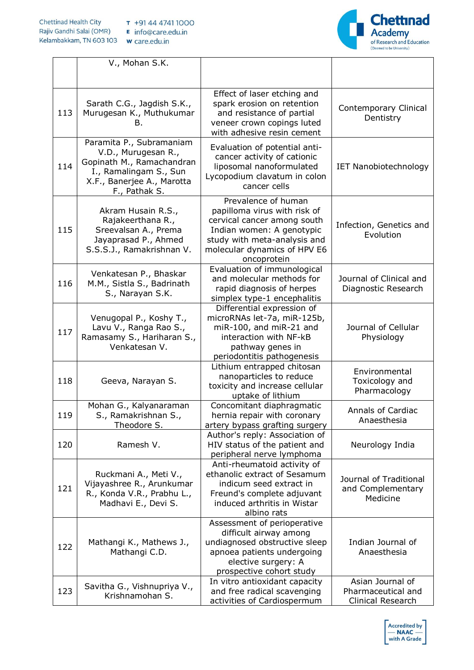

٦

|     | V., Mohan S.K.                                                                                                                                        |                                                                                                                                                                                                |                                                             |
|-----|-------------------------------------------------------------------------------------------------------------------------------------------------------|------------------------------------------------------------------------------------------------------------------------------------------------------------------------------------------------|-------------------------------------------------------------|
|     |                                                                                                                                                       |                                                                                                                                                                                                |                                                             |
| 113 | Sarath C.G., Jagdish S.K.,<br>Murugesan K., Muthukumar<br>В.                                                                                          | Effect of laser etching and<br>spark erosion on retention<br>and resistance of partial<br>veneer crown copings luted<br>with adhesive resin cement                                             | Contemporary Clinical<br>Dentistry                          |
| 114 | Paramita P., Subramaniam<br>V.D., Murugesan R.,<br>Gopinath M., Ramachandran<br>I., Ramalingam S., Sun<br>X.F., Banerjee A., Marotta<br>F., Pathak S. | Evaluation of potential anti-<br>cancer activity of cationic<br>liposomal nanoformulated<br>Lycopodium clavatum in colon<br>cancer cells                                                       | <b>IET Nanobiotechnology</b>                                |
| 115 | Akram Husain R.S.,<br>Rajakeerthana R.,<br>Sreevalsan A., Prema<br>Jayaprasad P., Ahmed<br>S.S.S.J., Ramakrishnan V.                                  | Prevalence of human<br>papilloma virus with risk of<br>cervical cancer among south<br>Indian women: A genotypic<br>study with meta-analysis and<br>molecular dynamics of HPV E6<br>oncoprotein | Infection, Genetics and<br>Evolution                        |
| 116 | Venkatesan P., Bhaskar<br>M.M., Sistla S., Badrinath<br>S., Narayan S.K.                                                                              | Evaluation of immunological<br>and molecular methods for<br>rapid diagnosis of herpes<br>simplex type-1 encephalitis                                                                           | Journal of Clinical and<br>Diagnostic Research              |
| 117 | Venugopal P., Koshy T.,<br>Lavu V., Ranga Rao S.,<br>Ramasamy S., Hariharan S.,<br>Venkatesan V.                                                      | Differential expression of<br>microRNAs let-7a, miR-125b,<br>miR-100, and miR-21 and<br>interaction with NF-kB<br>pathway genes in<br>periodontitis pathogenesis                               | Journal of Cellular<br>Physiology                           |
| 118 | Geeva, Narayan S.                                                                                                                                     | Lithium entrapped chitosan<br>nanoparticles to reduce<br>toxicity and increase cellular<br>uptake of lithium                                                                                   | Environmental<br>Toxicology and<br>Pharmacology             |
| 119 | Mohan G., Kalyanaraman<br>S., Ramakrishnan S.,<br>Theodore S.                                                                                         | Concomitant diaphragmatic<br>hernia repair with coronary<br>artery bypass grafting surgery                                                                                                     | Annals of Cardiac<br>Anaesthesia                            |
| 120 | Ramesh V.                                                                                                                                             | Author's reply: Association of<br>HIV status of the patient and<br>peripheral nerve lymphoma                                                                                                   | Neurology India                                             |
| 121 | Ruckmani A., Meti V.,<br>Vijayashree R., Arunkumar<br>R., Konda V.R., Prabhu L.,<br>Madhavi E., Devi S.                                               | Anti-rheumatoid activity of<br>ethanolic extract of Sesamum<br>indicum seed extract in<br>Freund's complete adjuvant<br>induced arthritis in Wistar<br>albino rats                             | Journal of Traditional<br>and Complementary<br>Medicine     |
| 122 | Mathangi K., Mathews J.,<br>Mathangi C.D.                                                                                                             | Assessment of perioperative<br>difficult airway among<br>undiagnosed obstructive sleep<br>apnoea patients undergoing<br>elective surgery: A<br>prospective cohort study                        | Indian Journal of<br>Anaesthesia                            |
| 123 | Savitha G., Vishnupriya V.,<br>Krishnamohan S.                                                                                                        | In vitro antioxidant capacity<br>and free radical scavenging<br>activities of Cardiospermum                                                                                                    | Asian Journal of<br>Pharmaceutical and<br>Clinical Research |

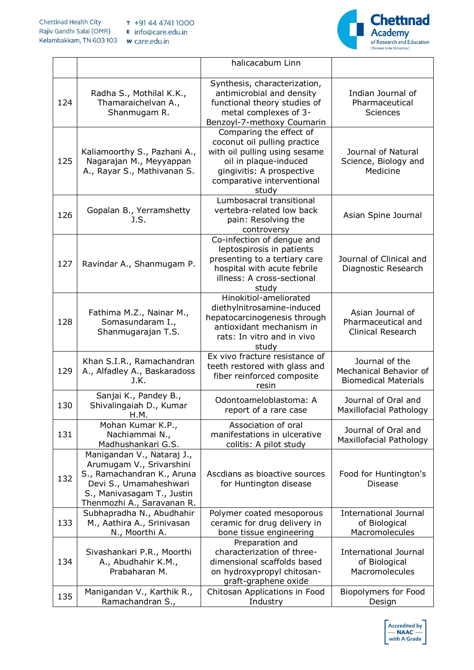

|     |                                                                                                                                                                            | halicacabum Linn                                                                                                                                                                      |                                                                         |
|-----|----------------------------------------------------------------------------------------------------------------------------------------------------------------------------|---------------------------------------------------------------------------------------------------------------------------------------------------------------------------------------|-------------------------------------------------------------------------|
|     |                                                                                                                                                                            |                                                                                                                                                                                       |                                                                         |
| 124 | Radha S., Mothilal K.K.,<br>Thamaraichelvan A.,<br>Shanmugam R.                                                                                                            | Synthesis, characterization,<br>antimicrobial and density<br>functional theory studies of<br>metal complexes of 3-<br>Benzoyl-7-methoxy Coumarin                                      | Indian Journal of<br>Pharmaceutical<br>Sciences                         |
| 125 | Kaliamoorthy S., Pazhani A.,<br>Nagarajan M., Meyyappan<br>A., Rayar S., Mathivanan S.                                                                                     | Comparing the effect of<br>coconut oil pulling practice<br>with oil pulling using sesame<br>oil in plaque-induced<br>gingivitis: A prospective<br>comparative interventional<br>study | Journal of Natural<br>Science, Biology and<br>Medicine                  |
| 126 | Gopalan B., Yerramshetty<br>J.S.                                                                                                                                           | Lumbosacral transitional<br>vertebra-related low back<br>pain: Resolving the<br>controversy                                                                                           | Asian Spine Journal                                                     |
| 127 | Ravindar A., Shanmugam P.                                                                                                                                                  | Co-infection of dengue and<br>leptospirosis in patients<br>presenting to a tertiary care<br>hospital with acute febrile<br>illness: A cross-sectional<br>study                        | Journal of Clinical and<br>Diagnostic Research                          |
| 128 | Fathima M.Z., Nainar M.,<br>Somasundaram I.,<br>Shanmugarajan T.S.                                                                                                         | Hinokitiol-ameliorated<br>diethylnitrosamine-induced<br>hepatocarcinogenesis through<br>antioxidant mechanism in<br>rats: In vitro and in vivo<br>study                               | Asian Journal of<br>Pharmaceutical and<br>Clinical Research             |
| 129 | Khan S.I.R., Ramachandran<br>A., Alfadley A., Baskaradoss<br>J.K.                                                                                                          | Ex vivo fracture resistance of<br>teeth restored with glass and<br>fiber reinforced composite<br>resin                                                                                | Journal of the<br>Mechanical Behavior of<br><b>Biomedical Materials</b> |
| 130 | Sanjai K., Pandey B.,<br>Shivalingaiah D., Kumar<br>H.M.                                                                                                                   | Odontoameloblastoma: A<br>report of a rare case                                                                                                                                       | Journal of Oral and<br>Maxillofacial Pathology                          |
| 131 | Mohan Kumar K.P.,<br>Nachiammai N.,<br>Madhushankari G.S.                                                                                                                  | Association of oral<br>manifestations in ulcerative<br>colitis: A pilot study                                                                                                         | Journal of Oral and<br>Maxillofacial Pathology                          |
| 132 | Manigandan V., Nataraj J.,<br>Arumugam V., Srivarshini<br>S., Ramachandran K., Aruna<br>Devi S., Umamaheshwari<br>S., Manivasagam T., Justin<br>Thenmozhi A., Saravanan R. | Ascdians as bioactive sources<br>for Huntington disease                                                                                                                               | Food for Huntington's<br><b>Disease</b>                                 |
| 133 | Subhapradha N., Abudhahir<br>M., Aathira A., Srinivasan<br>N., Moorthi A.                                                                                                  | Polymer coated mesoporous<br>ceramic for drug delivery in<br>bone tissue engineering                                                                                                  | <b>International Journal</b><br>of Biological<br>Macromolecules         |
| 134 | Sivashankari P.R., Moorthi<br>A., Abudhahir K.M.,<br>Prabaharan M.                                                                                                         | Preparation and<br>characterization of three-<br>dimensional scaffolds based<br>on hydroxypropyl chitosan-<br>graft-graphene oxide                                                    | <b>International Journal</b><br>of Biological<br>Macromolecules         |
| 135 | Manigandan V., Karthik R.,<br>Ramachandran S.,                                                                                                                             | Chitosan Applications in Food<br>Industry                                                                                                                                             | Biopolymers for Food<br>Design                                          |

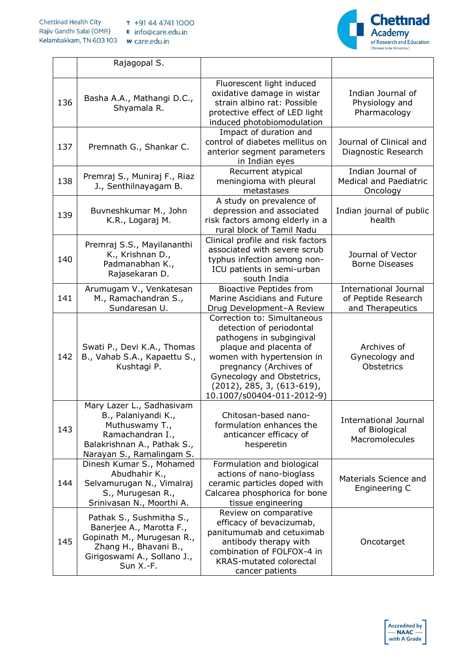

|     | Rajagopal S.                                                                                                                                            |                                                                                                                                                                                                                                                                       |                                                                         |
|-----|---------------------------------------------------------------------------------------------------------------------------------------------------------|-----------------------------------------------------------------------------------------------------------------------------------------------------------------------------------------------------------------------------------------------------------------------|-------------------------------------------------------------------------|
| 136 | Basha A.A., Mathangi D.C.,<br>Shyamala R.                                                                                                               | Fluorescent light induced<br>oxidative damage in wistar<br>strain albino rat: Possible<br>protective effect of LED light<br>induced photobiomodulation                                                                                                                | Indian Journal of<br>Physiology and<br>Pharmacology                     |
| 137 | Premnath G., Shankar C.                                                                                                                                 | Impact of duration and<br>control of diabetes mellitus on<br>anterior segment parameters<br>in Indian eyes                                                                                                                                                            | Journal of Clinical and<br>Diagnostic Research                          |
| 138 | Premraj S., Muniraj F., Riaz<br>J., Senthilnayagam B.                                                                                                   | Recurrent atypical<br>meningioma with pleural<br>metastases                                                                                                                                                                                                           | Indian Journal of<br><b>Medical and Paediatric</b><br>Oncology          |
| 139 | Buvneshkumar M., John<br>K.R., Logaraj M.                                                                                                               | A study on prevalence of<br>depression and associated<br>risk factors among elderly in a<br>rural block of Tamil Nadu                                                                                                                                                 | Indian journal of public<br>health                                      |
| 140 | Premraj S.S., Mayilananthi<br>K., Krishnan D.,<br>Padmanabhan K.,<br>Rajasekaran D.                                                                     | Clinical profile and risk factors<br>associated with severe scrub<br>typhus infection among non-<br>ICU patients in semi-urban<br>south India                                                                                                                         | Journal of Vector<br><b>Borne Diseases</b>                              |
| 141 | Arumugam V., Venkatesan<br>M., Ramachandran S.,<br>Sundaresan U.                                                                                        | <b>Bioactive Peptides from</b><br>Marine Ascidians and Future<br>Drug Development-A Review                                                                                                                                                                            | <b>International Journal</b><br>of Peptide Research<br>and Therapeutics |
| 142 | Swati P., Devi K.A., Thomas<br>B., Vahab S.A., Kapaettu S.,<br>Kushtagi P.                                                                              | Correction to: Simultaneous<br>detection of periodontal<br>pathogens in subgingival<br>plaque and placenta of<br>women with hypertension in<br>pregnancy (Archives of<br>Gynecology and Obstetrics,<br>$(2012)$ , 285, 3, $(613-619)$ ,<br>10.1007/s00404-011-2012-9) | Archives of<br>Gynecology and<br>Obstetrics                             |
| 143 | Mary Lazer L., Sadhasivam<br>B., Palaniyandi K.,<br>Muthuswamy T.,<br>Ramachandran I.,<br>Balakrishnan A., Pathak S.,<br>Narayan S., Ramalingam S.      | Chitosan-based nano-<br>formulation enhances the<br>anticancer efficacy of<br>hesperetin                                                                                                                                                                              | <b>International Journal</b><br>of Biological<br>Macromolecules         |
| 144 | Dinesh Kumar S., Mohamed<br>Abudhahir K.,<br>Selvamurugan N., Vimalraj<br>S., Murugesan R.,<br>Srinivasan N., Moorthi A.                                | Formulation and biological<br>actions of nano-bioglass<br>ceramic particles doped with<br>Calcarea phosphorica for bone<br>tissue engineering                                                                                                                         | Materials Science and<br>Engineering C                                  |
| 145 | Pathak S., Sushmitha S.,<br>Banerjee A., Marotta F.,<br>Gopinath M., Murugesan R.,<br>Zhang H., Bhavani B.,<br>Girigoswami A., Sollano J.,<br>Sun X.-F. | Review on comparative<br>efficacy of bevacizumab,<br>panitumumab and cetuximab<br>antibody therapy with<br>combination of FOLFOX-4 in<br><b>KRAS-mutated colorectal</b><br>cancer patients                                                                            | Oncotarget                                                              |

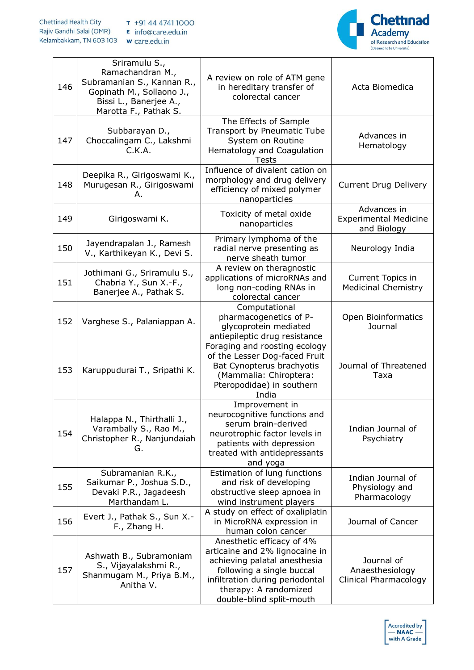

| 146 | Sriramulu S.,<br>Ramachandran M.,<br>Subramanian S., Kannan R.,<br>Gopinath M., Sollaono J.,<br>Bissi L., Banerjee A.,<br>Marotta F., Pathak S. | A review on role of ATM gene<br>in hereditary transfer of<br>colorectal cancer                                                                                                                                   | Acta Biomedica                                             |
|-----|-------------------------------------------------------------------------------------------------------------------------------------------------|------------------------------------------------------------------------------------------------------------------------------------------------------------------------------------------------------------------|------------------------------------------------------------|
| 147 | Subbarayan D.,<br>Choccalingam C., Lakshmi<br>C.K.A.                                                                                            | The Effects of Sample<br>Transport by Pneumatic Tube<br>System on Routine<br>Hematology and Coagulation<br><b>Tests</b>                                                                                          | Advances in<br>Hematology                                  |
| 148 | Deepika R., Girigoswami K.,<br>Murugesan R., Girigoswami<br>А.                                                                                  | Influence of divalent cation on<br>morphology and drug delivery<br>efficiency of mixed polymer<br>nanoparticles                                                                                                  | <b>Current Drug Delivery</b>                               |
| 149 | Girigoswami K.                                                                                                                                  | Toxicity of metal oxide<br>nanoparticles                                                                                                                                                                         | Advances in<br><b>Experimental Medicine</b><br>and Biology |
| 150 | Jayendrapalan J., Ramesh<br>V., Karthikeyan K., Devi S.                                                                                         | Primary lymphoma of the<br>radial nerve presenting as<br>nerve sheath tumor                                                                                                                                      | Neurology India                                            |
| 151 | Jothimani G., Sriramulu S.,<br>Chabria Y., Sun X.-F.,<br>Banerjee A., Pathak S.                                                                 | A review on theragnostic<br>applications of microRNAs and<br>long non-coding RNAs in<br>colorectal cancer                                                                                                        | Current Topics in<br><b>Medicinal Chemistry</b>            |
| 152 | Varghese S., Palaniappan A.                                                                                                                     | Computational<br>pharmacogenetics of P-<br>glycoprotein mediated<br>antiepileptic drug resistance                                                                                                                | Open Bioinformatics<br>Journal                             |
| 153 | Karuppudurai T., Sripathi K.                                                                                                                    | Foraging and roosting ecology<br>of the Lesser Dog-faced Fruit<br>Bat Cynopterus brachyotis<br>(Mammalia: Chiroptera:<br>Pteropodidae) in southern<br>India                                                      | Journal of Threatened<br>Taxa                              |
| 154 | Halappa N., Thirthalli J.,<br>Varambally S., Rao M.,<br>Christopher R., Nanjundaiah<br>G.                                                       | Improvement in<br>neurocognitive functions and<br>serum brain-derived<br>neurotrophic factor levels in<br>patients with depression<br>treated with antidepressants<br>and yoga                                   | Indian Journal of<br>Psychiatry                            |
| 155 | Subramanian R.K.,<br>Saikumar P., Joshua S.D.,<br>Devaki P.R., Jagadeesh<br>Marthandam L.                                                       | Estimation of lung functions<br>and risk of developing<br>obstructive sleep apnoea in<br>wind instrument players                                                                                                 | Indian Journal of<br>Physiology and<br>Pharmacology        |
| 156 | Evert J., Pathak S., Sun X.-<br>F., Zhang H.                                                                                                    | A study on effect of oxaliplatin<br>in MicroRNA expression in<br>human colon cancer                                                                                                                              | Journal of Cancer                                          |
| 157 | Ashwath B., Subramoniam<br>S., Vijayalakshmi R.,<br>Shanmugam M., Priya B.M.,<br>Anitha V.                                                      | Anesthetic efficacy of 4%<br>articaine and 2% lignocaine in<br>achieving palatal anesthesia<br>following a single buccal<br>infiltration during periodontal<br>therapy: A randomized<br>double-blind split-mouth | Journal of<br>Anaesthesiology<br>Clinical Pharmacology     |